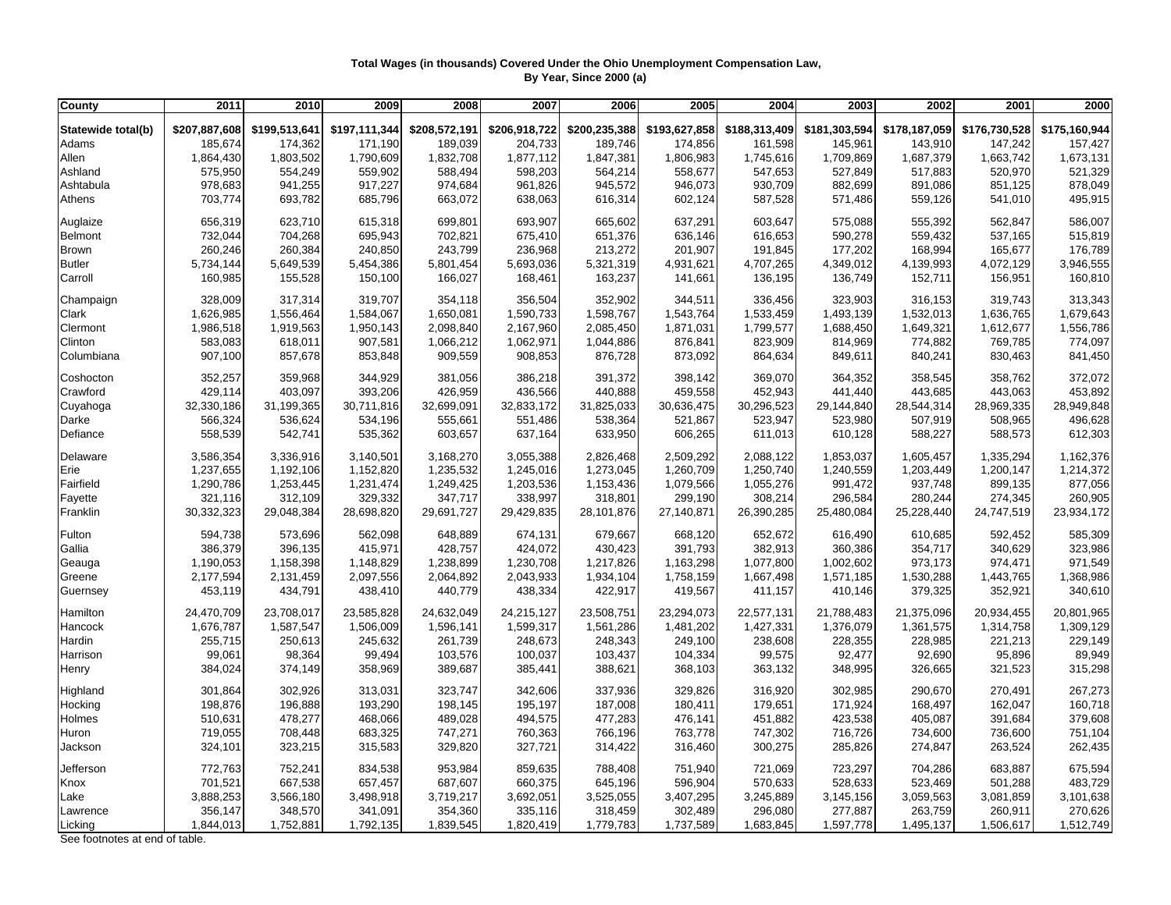## **Total Wages (in thousands) Covered Under the Ohio Unemployment Compensation Law, By Year, Since 2000 (a)**

| County             | 2011          | 2010          | 2009          | 2008          | 2007          | 2006          | 2005          | 2004          | 2003          | 2002          | 2001          | 2000          |
|--------------------|---------------|---------------|---------------|---------------|---------------|---------------|---------------|---------------|---------------|---------------|---------------|---------------|
| Statewide total(b) | \$207,887,608 | \$199,513,641 | \$197,111,344 | \$208,572,191 | \$206,918,722 | \$200,235,388 | \$193,627,858 | \$188,313,409 | \$181,303,594 | \$178,187,059 | \$176,730,528 | \$175,160,944 |
| Adams              | 185,674       | 174,362       | 171,190       | 189,039       | 204,733       | 189,746       | 174,856       | 161,598       | 145,961       | 143,910       | 147,242       | 157,427       |
| Allen              | 1,864,430     | 1,803,502     | 1,790,609     | 1,832,708     | 1,877,112     | 1,847,381     | 1,806,983     | 1,745,616     | 1,709,869     | 1,687,379     | 1,663,742     | 1,673,131     |
| Ashland            | 575,950       | 554,249       | 559,902       | 588,494       | 598,203       | 564,214       | 558,677       | 547,653       | 527,849       | 517,883       | 520,970       | 521,329       |
| Ashtabula          | 978,683       | 941,255       | 917,227       | 974,684       | 961,826       | 945,572       | 946,073       | 930,709       | 882,699       | 891,086       | 851,125       | 878,049       |
| Athens             | 703,774       | 693,782       | 685,796       | 663,072       | 638,063       | 616,314       | 602,124       | 587,528       | 571,486       | 559,126       | 541,010       | 495,915       |
|                    |               |               |               |               |               |               |               |               |               |               |               |               |
| Auglaize           | 656,319       | 623,710       | 615,318       | 699,801       | 693,907       | 665,602       | 637,291       | 603,647       | 575,088       | 555,392       | 562,847       | 586,007       |
| <b>Belmont</b>     | 732,044       | 704,268       | 695,943       | 702,821       | 675,410       | 651,376       | 636,146       | 616,653       | 590,278       | 559,432       | 537,165       | 515,819       |
| Brown              | 260,246       | 260,384       | 240,850       | 243,799       | 236,968       | 213,272       | 201,907       | 191,845       | 177,202       | 168,994       | 165,677       | 176,789       |
| <b>Butler</b>      | 5,734,144     | 5,649,539     | 5,454,386     | 5,801,454     | 5,693,036     | 5,321,319     | 4,931,621     | 4,707,265     | 4,349,012     | 4,139,993     | 4,072,129     | 3,946,555     |
| Carroll            | 160,985       | 155,528       | 150,100       | 166,027       | 168,461       | 163,237       | 141,661       | 136,195       | 136,749       | 152,711       | 156,951       | 160,810       |
| Champaign          | 328,009       | 317,314       | 319,707       | 354,118       | 356,504       | 352,902       | 344,511       | 336,456       | 323,903       | 316,153       | 319,743       | 313,343       |
| Clark              | 1,626,985     | 1,556,464     | 1,584,067     | 1,650,081     | 1,590,733     | 1,598,767     | 1,543,764     | 1,533,459     | 1,493,139     | 1,532,013     | 1,636,765     | 1,679,643     |
| Clermont           | 1,986,518     | 1,919,563     | 1,950,143     | 2,098,840     | 2,167,960     | 2,085,450     | 1,871,031     | 1,799,577     | 1,688,450     | 1,649,321     | 1,612,677     | 1,556,786     |
| Clinton            | 583,083       | 618,011       | 907,581       | 1,066,212     | 1,062,971     | 1,044,886     | 876,841       | 823,909       | 814,969       | 774,882       | 769,785       | 774,097       |
| Columbiana         | 907,100       | 857,678       | 853,848       | 909,559       | 908,853       | 876,728       | 873,092       | 864,634       | 849,611       | 840,241       | 830,463       | 841,450       |
| Coshocton          | 352,257       | 359,968       | 344,929       | 381,056       | 386,218       | 391,372       | 398,142       | 369,070       | 364,352       | 358,545       | 358,762       | 372,072       |
| Crawford           | 429,114       | 403,097       | 393,206       | 426,959       | 436,566       | 440,888       | 459,558       | 452,943       | 441,440       | 443,685       | 443,063       | 453,892       |
| Cuyahoga           | 32,330,186    | 31,199,365    | 30,711,816    | 32,699,091    | 32,833,172    | 31,825,033    | 30,636,475    | 30,296,523    | 29,144,840    | 28,544,314    | 28,969,335    | 28,949,848    |
| Darke              | 566,324       | 536,624       | 534,196       | 555,661       | 551,486       | 538,364       | 521,867       | 523,947       | 523,980       | 507,919       | 508,965       | 496,628       |
| Defiance           | 558,539       | 542,741       | 535,362       | 603,657       | 637,164       | 633,950       | 606,265       | 611,013       | 610,128       | 588,227       | 588,573       | 612,303       |
| Delaware           | 3,586,354     | 3,336,916     | 3,140,501     | 3,168,270     | 3,055,388     | 2,826,468     | 2,509,292     | 2,088,122     | 1,853,037     | 1,605,457     | 1,335,294     | 1,162,376     |
| Erie               | 1,237,655     | 1,192,106     | 1,152,820     | 1,235,532     | 1,245,016     | 1,273,045     | 1,260,709     | 1,250,740     | 1,240,559     | 1,203,449     | 1,200,147     | 1,214,372     |
| Fairfield          | 1,290,786     | 1,253,445     | 1,231,474     | 1,249,425     | 1,203,536     | 1,153,436     | 1,079,566     | 1,055,276     | 991,472       | 937,748       | 899,135       | 877,056       |
| Fayette            | 321,116       | 312,109       | 329,332       | 347,717       | 338,997       | 318,801       | 299,190       | 308,214       | 296,584       | 280,244       | 274,345       | 260,905       |
| Franklin           | 30,332,323    | 29,048,384    | 28,698,820    | 29,691,727    | 29,429,835    | 28,101,876    | 27,140,871    | 26,390,285    | 25,480,084    | 25,228,440    | 24,747,519    | 23,934,172    |
|                    |               |               |               |               |               |               |               |               |               |               |               |               |
| Fulton             | 594,738       | 573,696       | 562,098       | 648,889       | 674,131       | 679,667       | 668,120       | 652,672       | 616,490       | 610,685       | 592,452       | 585,309       |
| Gallia             | 386,379       | 396,135       | 415,971       | 428,757       | 424,072       | 430,423       | 391,793       | 382,913       | 360,386       | 354,717       | 340,629       | 323,986       |
| Geauga             | 1,190,053     | 1,158,398     | 1,148,829     | 1,238,899     | 1,230,708     | 1,217,826     | 1,163,298     | 1,077,800     | 1,002,602     | 973,173       | 974,471       | 971,549       |
| Greene             | 2,177,594     | 2,131,459     | 2,097,556     | 2,064,892     | 2,043,933     | 1,934,104     | 1,758,159     | 1,667,498     | 1,571,185     | 1,530,288     | 1,443,765     | 1,368,986     |
| Guernsey           | 453,119       | 434,791       | 438,410       | 440,779       | 438,334       | 422,917       | 419,567       | 411,157       | 410,146       | 379,325       | 352,921       | 340,610       |
| Hamilton           | 24,470,709    | 23,708,017    | 23,585,828    | 24,632,049    | 24,215,127    | 23,508,751    | 23,294,073    | 22,577,131    | 21,788,483    | 21,375,096    | 20,934,455    | 20,801,965    |
| Hancock            | 1,676,787     | 1,587,547     | 1,506,009     | 1,596,141     | 1,599,317     | 1,561,286     | 1,481,202     | 1,427,331     | 1,376,079     | 1,361,575     | 1,314,758     | 1,309,129     |
| Hardin             | 255,715       | 250,613       | 245,632       | 261,739       | 248,673       | 248,343       | 249,100       | 238,608       | 228,355       | 228,985       | 221,213       | 229,149       |
| Harrison           | 99,061        | 98,364        | 99,494        | 103,576       | 100,037       | 103,437       | 104,334       | 99,575        | 92,477        | 92,690        | 95,896        | 89,949        |
| Henry              | 384,024       | 374,149       | 358,969       | 389,687       | 385,441       | 388,621       | 368,103       | 363,132       | 348,995       | 326,665       | 321,523       | 315,298       |
| Highland           | 301,864       | 302,926       | 313,031       | 323,747       | 342,606       | 337,936       | 329,826       | 316,920       | 302,985       | 290,670       | 270,491       | 267,273       |
| Hocking            | 198,876       | 196,888       | 193,290       | 198,145       | 195,197       | 187,008       | 180,411       | 179,651       | 171,924       | 168,497       | 162,047       | 160,718       |
| Holmes             | 510,631       | 478,277       | 468,066       | 489,028       | 494,575       | 477,283       | 476,141       | 451,882       | 423,538       | 405,087       | 391,684       | 379,608       |
| Huron              | 719,055       | 708,448       | 683,325       | 747,271       | 760,363       | 766,196       | 763,778       | 747,302       | 716,726       | 734,600       | 736,600       | 751,104       |
| Jackson            | 324,101       | 323,215       | 315,583       | 329,820       | 327,721       | 314,422       | 316,460       | 300,275       | 285,826       | 274,847       | 263,524       | 262,435       |
| Jefferson          | 772,763       | 752,241       | 834,538       | 953,984       | 859,635       | 788,408       | 751,940       | 721,069       | 723,297       | 704,286       | 683,887       | 675,594       |
| Knox               | 701,521       | 667,538       | 657,457       | 687,607       | 660,375       | 645,196       | 596,904       | 570,633       | 528,633       | 523,469       | 501,288       | 483,729       |
| Lake               | 3,888,253     | 3,566,180     | 3,498,918     | 3,719,217     | 3,692,051     | 3,525,055     | 3,407,295     | 3,245,889     | 3,145,156     | 3,059,563     | 3,081,859     | 3,101,638     |
| Lawrence           | 356,147       | 348,570       | 341,091       | 354,360       | 335,116       | 318,459       | 302,489       | 296,080       | 277,887       | 263,759       | 260,911       | 270,626       |
|                    |               |               |               |               |               |               |               |               |               |               |               |               |
| Licking            | 1,844,013     | 1,752,881     | 1,792,135     | 1,839,545     | 1,820,419     | 1,779,783     | 1,737,589     | 1,683,845     | 1,597,778     | 1,495,137     | 1,506,617     | 1,512,749     |

See footnotes at end of table.